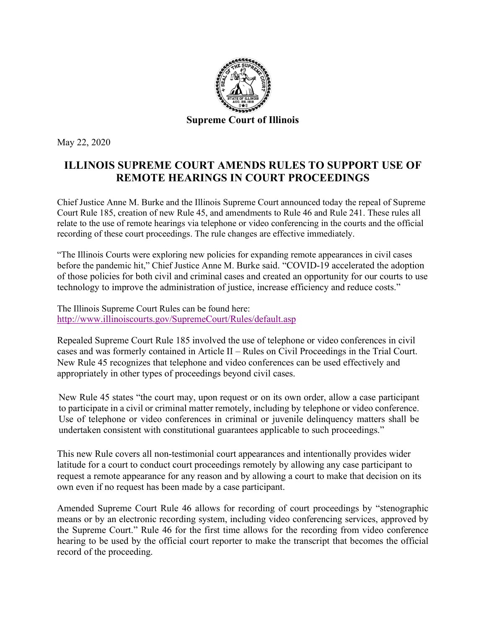

May 22, 2020

## **ILLINOIS SUPREME COURT AMENDS RULES TO SUPPORT USE OF REMOTE HEARINGS IN COURT PROCEEDINGS**

Chief Justice Anne M. Burke and the Illinois Supreme Court announced today the repeal of Supreme Court Rule 185, creation of new Rule 45, and amendments to Rule 46 and Rule 241. These rules all relate to the use of remote hearings via telephone or video conferencing in the courts and the official recording of these court proceedings. The rule changes are effective immediately.

"The Illinois Courts were exploring new policies for expanding remote appearances in civil cases before the pandemic hit," Chief Justice Anne M. Burke said. "COVID-19 accelerated the adoption of those policies for both civil and criminal cases and created an opportunity for our courts to use technology to improve the administration of justice, increase efficiency and reduce costs."

The Illinois Supreme Court Rules can be found here: <http://www.illinoiscourts.gov/SupremeCourt/Rules/default.asp>

Repealed Supreme Court Rule 185 involved the use of telephone or video conferences in civil cases and was formerly contained in Article II – Rules on Civil Proceedings in the Trial Court. New Rule 45 recognizes that telephone and video conferences can be used effectively and appropriately in other types of proceedings beyond civil cases.

New Rule 45 states "the court may, upon request or on its own order, allow a case participant to participate in a civil or criminal matter remotely, including by telephone or video conference. Use of telephone or video conferences in criminal or juvenile delinquency matters shall be undertaken consistent with constitutional guarantees applicable to such proceedings."

This new Rule covers all non-testimonial court appearances and intentionally provides wider latitude for a court to conduct court proceedings remotely by allowing any case participant to request a remote appearance for any reason and by allowing a court to make that decision on its own even if no request has been made by a case participant.

Amended Supreme Court Rule 46 allows for recording of court proceedings by "stenographic means or by an electronic recording system, including video conferencing services, approved by the Supreme Court." Rule 46 for the first time allows for the recording from video conference hearing to be used by the official court reporter to make the transcript that becomes the official record of the proceeding.